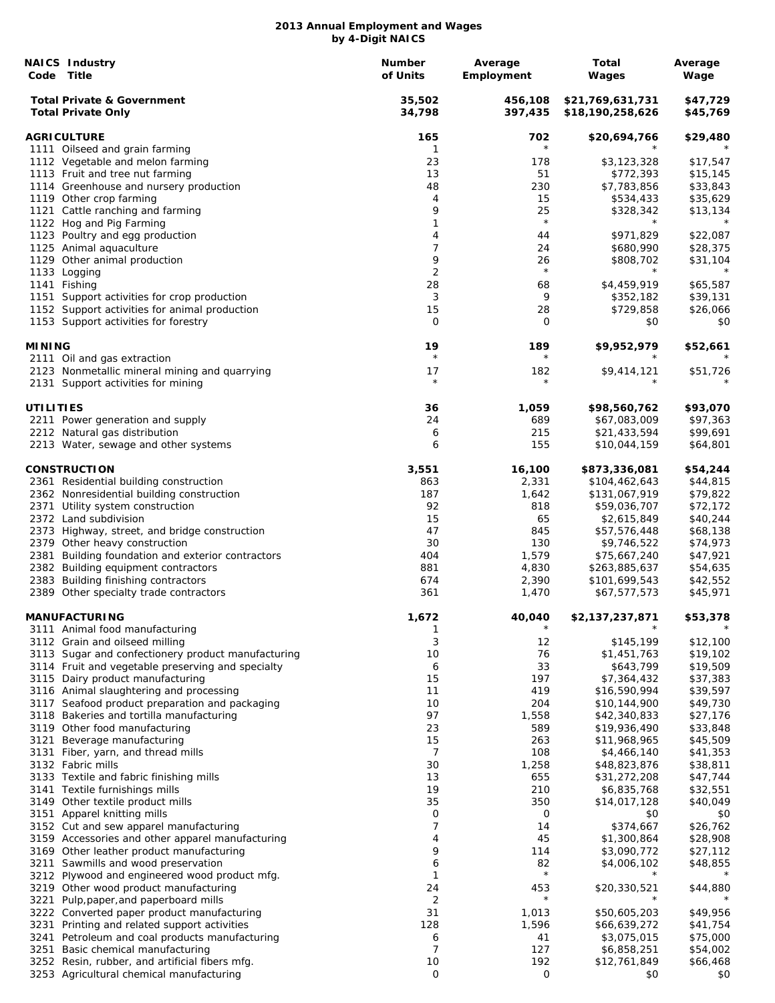|               | <b>NAICS Industry</b><br>Code Title                                                 | Number<br>of Units | Average<br>Employment | Total<br>Wages                       | Average<br>Wage      |
|---------------|-------------------------------------------------------------------------------------|--------------------|-----------------------|--------------------------------------|----------------------|
|               | <b>Total Private &amp; Government</b><br><b>Total Private Only</b>                  | 35,502<br>34,798   | 456,108<br>397,435    | \$21,769,631,731<br>\$18,190,258,626 | \$47,729<br>\$45,769 |
|               | <b>AGRICULTURE</b>                                                                  | 165                | 702                   | \$20,694,766                         | \$29,480             |
|               | 1111 Oilseed and grain farming                                                      | 1                  | $\star$               |                                      |                      |
|               | 1112 Vegetable and melon farming                                                    | 23                 | 178                   | \$3,123,328                          | \$17,547             |
|               | 1113 Fruit and tree nut farming                                                     | 13                 | 51                    | \$772,393                            | \$15,145             |
|               | 1114 Greenhouse and nursery production                                              | 48                 | 230                   | \$7,783,856                          | \$33,843             |
|               | 1119 Other crop farming                                                             | 4                  | 15                    | \$534,433                            | \$35,629             |
|               | 1121 Cattle ranching and farming                                                    | 9                  | 25                    | \$328,342                            | \$13,134             |
|               | 1122 Hog and Pig Farming                                                            | 1                  | $\star$               | $^\star$                             | $^\star$             |
|               | 1123 Poultry and egg production                                                     | 4                  | 44                    | \$971,829                            | \$22,087             |
|               | 1125 Animal aquaculture                                                             | 7                  | 24                    | \$680,990                            | \$28,375             |
|               | 1129 Other animal production                                                        | 9                  | 26                    | \$808,702                            | \$31,104             |
|               | 1133 Logging                                                                        | 2                  | $\star$               | $^\star$                             | $^\star$             |
|               | 1141 Fishing                                                                        | 28                 | 68                    | \$4,459,919                          | \$65,587             |
|               | 1151 Support activities for crop production                                         | 3                  | 9                     | \$352,182                            | \$39,131             |
|               | 1152 Support activities for animal production                                       | 15                 | 28                    | \$729,858                            | \$26,066             |
|               | 1153 Support activities for forestry                                                | 0                  | 0                     | \$0                                  | \$0                  |
| <b>MINING</b> |                                                                                     | 19<br>$\star$      | 189<br>$\star$        | \$9,952,979                          | \$52,661<br>$^\star$ |
|               | 2111 Oil and gas extraction                                                         |                    |                       |                                      |                      |
|               | 2123 Nonmetallic mineral mining and quarrying<br>2131 Support activities for mining | 17<br>$\star$      | 182<br>$\star$        | \$9,414,121                          | \$51,726             |
| UTILITIES     |                                                                                     | 36                 | 1,059                 | \$98,560,762                         | \$93,070             |
|               | 2211 Power generation and supply                                                    | 24                 | 689                   | \$67,083,009                         | \$97,363             |
|               | 2212 Natural gas distribution                                                       | 6                  | 215                   | \$21,433,594                         | \$99,691             |
|               | 2213 Water, sewage and other systems                                                | 6                  | 155                   | \$10,044,159                         | \$64,801             |
|               | <b>CONSTRUCTION</b>                                                                 | 3,551              | 16,100                | \$873,336,081                        | \$54,244             |
|               | 2361 Residential building construction                                              | 863                | 2,331                 | \$104,462,643                        | \$44,815             |
|               | 2362 Nonresidential building construction                                           | 187                | 1,642                 | \$131,067,919                        | \$79,822             |
|               | 2371 Utility system construction                                                    | 92                 | 818                   | \$59,036,707                         | \$72,172             |
|               | 2372 Land subdivision                                                               | 15                 | 65                    | \$2,615,849                          | \$40,244             |
|               | 2373 Highway, street, and bridge construction                                       | 47                 | 845                   | \$57,576,448                         | \$68,138             |
|               | 2379 Other heavy construction                                                       | 30                 | 130                   | \$9,746,522                          | \$74,973             |
|               | 2381 Building foundation and exterior contractors                                   | 404                | 1,579                 | \$75,667,240                         | \$47,921             |
|               | 2382 Building equipment contractors                                                 | 881                |                       |                                      |                      |
|               | 2383 Building finishing contractors                                                 | 674                | 4,830<br>2,390        | \$263,885,637<br>\$101,699,543       | \$54,635<br>\$42,552 |
|               | 2389 Other specialty trade contractors                                              | 361                | 1,470                 | \$67,577,573                         | \$45,971             |
|               | <b>MANUFACTURING</b>                                                                | 1.672              | 40,040                | \$2,137,237,871                      | \$53,378             |
|               | 3111 Animal food manufacturing                                                      | 1                  | $^{\star}$            |                                      |                      |
|               | 3112 Grain and oilseed milling                                                      | 3                  | 12                    | \$145,199                            | \$12,100             |
|               | 3113 Sugar and confectionery product manufacturing                                  | 10                 | 76                    | \$1,451,763                          | \$19,102             |
|               | 3114 Fruit and vegetable preserving and specialty                                   | 6                  | 33                    | \$643,799                            | \$19,509             |
|               | 3115 Dairy product manufacturing                                                    | 15                 | 197                   | \$7,364,432                          | \$37,383             |
|               | 3116 Animal slaughtering and processing                                             | 11                 | 419                   | \$16,590,994                         | \$39,597             |
|               | 3117 Seafood product preparation and packaging                                      | 10                 | 204                   | \$10,144,900                         | \$49,730             |
|               | 3118 Bakeries and tortilla manufacturing                                            | 97                 | 1,558                 | \$42,340,833                         | \$27,176             |
|               | 3119 Other food manufacturing                                                       | 23                 | 589                   | \$19,936,490                         | \$33,848             |
| 3121          | Beverage manufacturing                                                              | 15                 | 263                   | \$11,968,965                         | \$45,509             |
| 3131          | Fiber, yarn, and thread mills                                                       | 7                  | 108                   | \$4,466,140                          | \$41,353             |
|               | 3132 Fabric mills                                                                   | 30                 | 1,258                 | \$48,823,876                         | \$38,811             |
|               | 3133 Textile and fabric finishing mills                                             | 13                 | 655                   | \$31,272,208                         | \$47,744             |
|               | 3141 Textile furnishings mills                                                      | 19                 | 210                   | \$6,835,768                          | \$32,551             |
|               | 3149 Other textile product mills                                                    | 35                 | 350                   | \$14,017,128                         | \$40,049             |
|               | 3151 Apparel knitting mills                                                         | 0                  | 0                     | \$0                                  | \$0                  |
|               | 3152 Cut and sew apparel manufacturing                                              | 7                  | 14                    | \$374,667                            | \$26,762             |
|               | 3159 Accessories and other apparel manufacturing                                    | 4                  | 45                    | \$1,300,864                          | \$28,908             |
|               | 3169 Other leather product manufacturing                                            | 9                  | 114                   | \$3,090,772                          | \$27,112             |
|               | 3211 Sawmills and wood preservation                                                 | 6                  | 82                    | \$4,006,102                          | \$48,855             |
|               | 3212 Plywood and engineered wood product mfg.                                       | 1                  | $\star$               |                                      |                      |
|               | 3219 Other wood product manufacturing                                               | 24                 | 453                   | \$20,330,521                         | \$44,880             |
| 3221          | Pulp, paper, and paperboard mills                                                   | 2                  | $\star$               |                                      |                      |
|               | 3222 Converted paper product manufacturing                                          | 31                 | 1,013                 | \$50,605,203                         | \$49,956             |
| 3231          | Printing and related support activities                                             | 128                | 1,596                 | \$66,639,272                         | \$41,754             |
| 3241          | Petroleum and coal products manufacturing                                           | 6                  | 41                    | \$3,075,015                          | \$75,000             |
|               | 3251 Basic chemical manufacturing                                                   | 7                  | 127                   | \$6,858,251                          | \$54,002             |
|               | 3252 Resin, rubber, and artificial fibers mfg.                                      | 10                 | 192                   | \$12,761,849                         | \$66,468             |
|               | 3253 Agricultural chemical manufacturing                                            | $\mathsf{O}$       | 0                     | \$0                                  | \$0                  |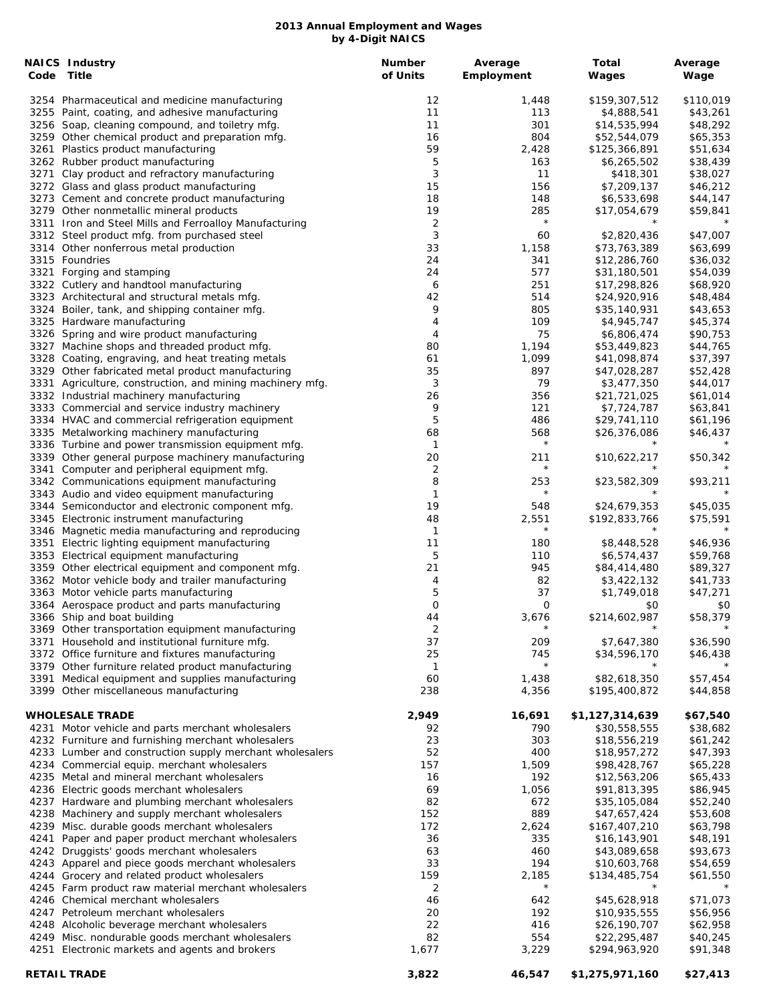| <b>NAICS Industry</b><br>Code Title                                                             | <b>Number</b><br>of Units | Average    | Total                        | Average              |
|-------------------------------------------------------------------------------------------------|---------------------------|------------|------------------------------|----------------------|
|                                                                                                 |                           | Employment | Wages                        | Wage                 |
| 3254 Pharmaceutical and medicine manufacturing                                                  | 12                        | 1,448      | \$159,307,512                | \$110,019            |
| 3255 Paint, coating, and adhesive manufacturing                                                 | 11                        | 113        | \$4,888,541                  | \$43,261             |
| 3256 Soap, cleaning compound, and toiletry mfg.                                                 | 11                        | 301        | \$14,535,994                 | \$48,292             |
| 3259 Other chemical product and preparation mfg.                                                | 16                        | 804        | \$52,544,079                 | \$65,353             |
| 3261 Plastics product manufacturing                                                             | 59                        | 2,428      | \$125,366,891                | \$51,634             |
| 3262 Rubber product manufacturing                                                               | 5                         | 163        | \$6,265,502                  | \$38,439             |
| 3271 Clay product and refractory manufacturing                                                  | 3                         | 11         | \$418,301                    | \$38,027             |
| 3272 Glass and glass product manufacturing                                                      | 15                        | 156        | \$7,209,137                  | \$46,212             |
| 3273 Cement and concrete product manufacturing                                                  | 18                        | 148        | \$6,533,698                  | \$44,147             |
| 3279 Other nonmetallic mineral products                                                         | 19                        | 285        | \$17,054,679                 | \$59,841             |
| 3311 Iron and Steel Mills and Ferroalloy Manufacturing                                          | 2                         | $\star$    |                              |                      |
| 3312 Steel product mfg. from purchased steel                                                    | 3                         | 60         | \$2,820,436                  | \$47,007             |
| 3314 Other nonferrous metal production<br>3315 Foundries                                        | 33                        | 1,158      | \$73,763,389                 | \$63,699             |
| 3321 Forging and stamping                                                                       | 24<br>24                  | 341<br>577 | \$12,286,760<br>\$31,180,501 | \$36,032<br>\$54,039 |
| 3322 Cutlery and handtool manufacturing                                                         | 6                         | 251        | \$17,298,826                 | \$68,920             |
| 3323 Architectural and structural metals mfg.                                                   | 42                        | 514        | \$24,920,916                 | \$48,484             |
| 3324 Boiler, tank, and shipping container mfg.                                                  | 9                         | 805        | \$35,140,931                 | \$43,653             |
| 3325 Hardware manufacturing                                                                     | 4                         | 109        | \$4,945,747                  | \$45,374             |
| 3326 Spring and wire product manufacturing                                                      | 4                         | 75         | \$6,806,474                  | \$90,753             |
| 3327 Machine shops and threaded product mfg.                                                    | 80                        | 1,194      | \$53,449,823                 | \$44,765             |
| 3328 Coating, engraving, and heat treating metals                                               | 61                        | 1,099      | \$41,098,874                 | \$37,397             |
| 3329 Other fabricated metal product manufacturing                                               | 35                        | 897        | \$47,028,287                 | \$52,428             |
| 3331 Agriculture, construction, and mining machinery mfg.                                       | 3                         | 79         | \$3,477,350                  | \$44,017             |
| 3332 Industrial machinery manufacturing                                                         | 26                        | 356        | \$21,721,025                 | \$61,014             |
| 3333 Commercial and service industry machinery                                                  | 9                         | 121        | \$7,724,787                  | \$63,841             |
| 3334 HVAC and commercial refrigeration equipment                                                | 5                         | 486        | \$29,741,110                 | \$61,196             |
| 3335 Metalworking machinery manufacturing                                                       | 68                        | 568        | \$26,376,086                 | \$46,437             |
| 3336 Turbine and power transmission equipment mfg.                                              | $\mathbf{1}$              | $\star$    |                              |                      |
| 3339 Other general purpose machinery manufacturing                                              | 20                        | 211        | \$10,622,217                 | \$50,342             |
| 3341 Computer and peripheral equipment mfg.                                                     | 2                         | $\star$    | $\star$                      |                      |
| 3342 Communications equipment manufacturing                                                     | 8                         | 253        | \$23,582,309                 | \$93,211             |
| 3343 Audio and video equipment manufacturing                                                    | 1                         | $\star$    |                              | $^\star$             |
| 3344 Semiconductor and electronic component mfg.                                                | 19                        | 548        | \$24,679,353                 | \$45,035             |
| 3345 Electronic instrument manufacturing                                                        | 48                        | 2,551      | \$192,833,766                | \$75,591             |
| 3346 Magnetic media manufacturing and reproducing                                               | 1                         | $\star$    |                              |                      |
| 3351 Electric lighting equipment manufacturing                                                  | 11                        | 180        | \$8,448,528                  | \$46,936             |
| 3353 Electrical equipment manufacturing                                                         | 5                         | 110        | \$6,574,437                  | \$59,768             |
| 3359 Other electrical equipment and component mfg.                                              | 21                        | 945        | \$84,414,480                 | \$89,327             |
| 3362 Motor vehicle body and trailer manufacturing                                               | 4                         | 82         | \$3,422,132                  | \$41,733             |
| 3363 Motor vehicle parts manufacturing                                                          | 5                         | 37         | \$1,749,018                  | \$47,271             |
| 3364 Aerospace product and parts manufacturing                                                  | 0                         | 0          | \$0                          | \$0                  |
| 3366 Ship and boat building                                                                     | 44                        | 3,676      | \$214,602,987                | \$58,379             |
| 3369 Other transportation equipment manufacturing                                               | 2                         | $\star$    |                              |                      |
| 3371 Household and institutional furniture mfg.                                                 | 37                        | 209        | \$7,647,380                  | \$36,590             |
| 3372 Office furniture and fixtures manufacturing                                                | 25                        | 745        | \$34,596,170                 | \$46,438             |
| 3379 Other furniture related product manufacturing                                              | 1                         | $\star$    |                              |                      |
| 3391 Medical equipment and supplies manufacturing                                               | 60                        | 1,438      | \$82,618,350                 | \$57,454             |
| 3399 Other miscellaneous manufacturing                                                          | 238                       | 4,356      | \$195,400,872                | \$44,858             |
| <b>WHOLESALE TRADE</b>                                                                          | 2,949                     | 16,691     | \$1,127,314,639              | \$67,540             |
| 4231 Motor vehicle and parts merchant wholesalers                                               | 92                        | 790        | \$30,558,555                 | \$38,682             |
| 4232 Furniture and furnishing merchant wholesalers                                              | 23                        | 303        | \$18,556,219                 | \$61,242             |
| 4233 Lumber and construction supply merchant wholesalers                                        | 52                        | 400        | \$18,957,272                 | \$47,393             |
| 4234 Commercial equip. merchant wholesalers                                                     | 157                       | 1,509      | \$98,428,767                 | \$65,228             |
| 4235 Metal and mineral merchant wholesalers                                                     | 16                        | 192        | \$12,563,206                 | \$65,433             |
| 4236 Electric goods merchant wholesalers                                                        | 69                        | 1,056      | \$91,813,395                 | \$86,945             |
| 4237 Hardware and plumbing merchant wholesalers                                                 | 82<br>152                 | 672<br>889 | \$35,105,084                 | \$52,240             |
| 4238 Machinery and supply merchant wholesalers                                                  | 172                       |            | \$47,657,424                 | \$53,608             |
| 4239 Misc. durable goods merchant wholesalers                                                   |                           | 2,624      | \$167,407,210                | \$63,798             |
| 4241 Paper and paper product merchant wholesalers<br>4242 Druggists' goods merchant wholesalers | 36<br>63                  | 335<br>460 | \$16,143,901<br>\$43,089,658 | \$48,191<br>\$93,673 |
| 4243 Apparel and piece goods merchant wholesalers                                               | 33                        | 194        | \$10,603,768                 | \$54,659             |
| 4244 Grocery and related product wholesalers                                                    | 159                       | 2,185      | \$134,485,754                | \$61,550             |
| 4245 Farm product raw material merchant wholesalers                                             | 2                         | $^\star$   | $^\star$                     |                      |
| 4246 Chemical merchant wholesalers                                                              | 46                        | 642        | \$45,628,918                 | \$71,073             |
| 4247 Petroleum merchant wholesalers                                                             | 20                        | 192        | \$10,935,555                 | \$56,956             |
| 4248 Alcoholic beverage merchant wholesalers                                                    | 22                        | 416        | \$26,190,707                 | \$62,958             |
| 4249 Misc. nondurable goods merchant wholesalers                                                | 82                        | 554        | \$22,295,487                 | \$40,245             |
| 4251 Electronic markets and agents and brokers                                                  | 1,677                     | 3,229      | \$294,963,920                | \$91,348             |
|                                                                                                 |                           |            |                              |                      |
| <b>RETAIL TRADE</b>                                                                             | 3,822                     | 46,547     | \$1,275,971,160              | \$27,413             |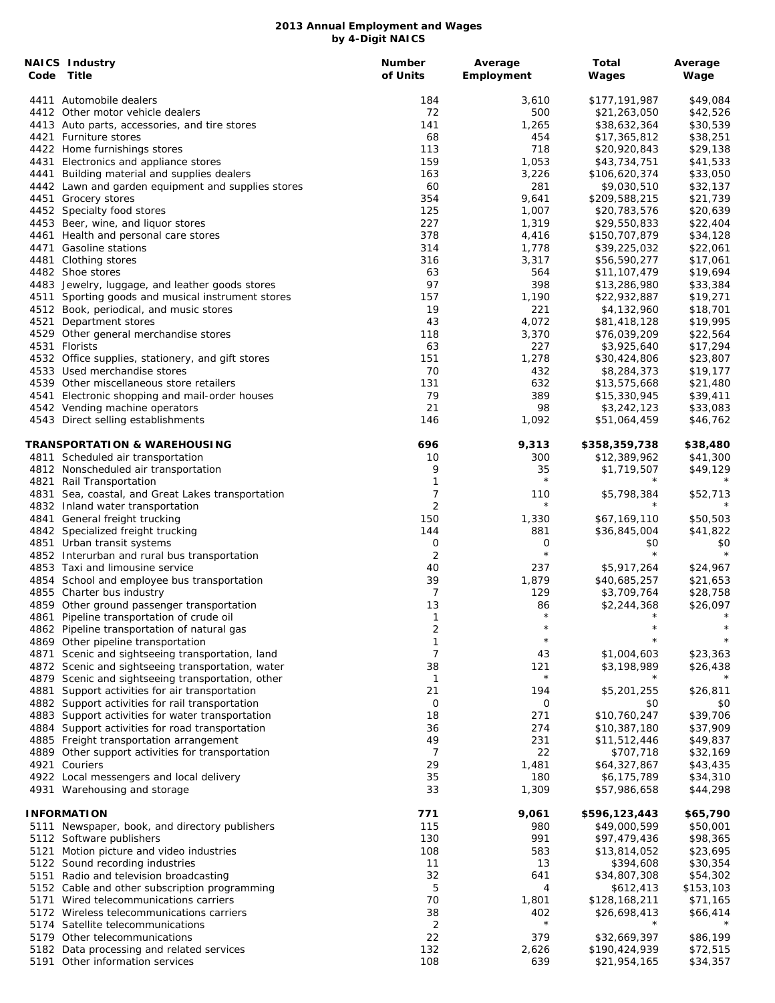|      | NAICS Industry<br>Code Title                       | <b>Number</b><br>of Units | Average<br>Employment | Total<br>Wages | Average<br>Wage |
|------|----------------------------------------------------|---------------------------|-----------------------|----------------|-----------------|
|      | 4411 Automobile dealers                            | 184                       | 3,610                 | \$177,191,987  | \$49,084        |
|      | 4412 Other motor vehicle dealers                   | 72                        | 500                   | \$21,263,050   | \$42,526        |
|      | 4413 Auto parts, accessories, and tire stores      | 141                       | 1,265                 | \$38,632,364   | \$30,539        |
|      | 4421 Furniture stores                              | 68                        | 454                   | \$17,365,812   | \$38,251        |
|      | 4422 Home furnishings stores                       | 113                       | 718                   | \$20,920,843   | \$29,138        |
|      | 4431 Electronics and appliance stores              | 159                       | 1,053                 | \$43,734,751   | \$41,533        |
|      | 4441 Building material and supplies dealers        | 163                       | 3,226                 | \$106,620,374  | \$33,050        |
|      | 4442 Lawn and garden equipment and supplies stores | 60                        | 281                   | \$9,030,510    | \$32,137        |
|      | 4451 Grocery stores                                | 354                       | 9,641                 | \$209,588,215  | \$21,739        |
|      | 4452 Specialty food stores                         | 125                       | 1,007                 | \$20,783,576   | \$20,639        |
|      | 4453 Beer, wine, and liquor stores                 | 227                       | 1,319                 | \$29,550,833   | \$22,404        |
|      | 4461 Health and personal care stores               | 378                       | 4,416                 | \$150,707,879  | \$34,128        |
|      | 4471 Gasoline stations                             | 314                       | 1,778                 | \$39,225,032   | \$22,061        |
|      | 4481 Clothing stores                               | 316                       | 3,317                 | \$56,590,277   | \$17,061        |
|      | 4482 Shoe stores                                   | 63                        | 564                   | \$11,107,479   | \$19,694        |
|      | 4483 Jewelry, luggage, and leather goods stores    | 97                        | 398                   | \$13,286,980   | \$33,384        |
|      | 4511 Sporting goods and musical instrument stores  | 157                       | 1,190                 | \$22,932,887   | \$19,271        |
|      | 4512 Book, periodical, and music stores            | 19                        | 221                   | \$4,132,960    | \$18,701        |
| 4521 | Department stores                                  | 43                        | 4,072                 | \$81,418,128   | \$19,995        |
|      | 4529 Other general merchandise stores              | 118                       | 3,370                 | \$76,039,209   | \$22,564        |
|      | 4531 Florists                                      | 63                        | 227                   | \$3,925,640    | \$17,294        |
|      | 4532 Office supplies, stationery, and gift stores  | 151                       | 1,278                 | \$30,424,806   | \$23,807        |
|      | 4533 Used merchandise stores                       | 70                        | 432                   | \$8,284,373    | \$19,177        |
|      | 4539 Other miscellaneous store retailers           | 131                       | 632                   | \$13,575,668   | \$21,480        |
|      | 4541 Electronic shopping and mail-order houses     | 79                        | 389                   | \$15,330,945   | \$39,411        |
|      | 4542 Vending machine operators                     | 21                        | 98                    | \$3,242,123    | \$33,083        |
|      | 4543 Direct selling establishments                 | 146                       | 1,092                 | \$51,064,459   | \$46,762        |
|      | TRANSPORTATION & WAREHOUSING                       | 696                       | 9,313                 | \$358,359,738  | \$38,480        |
|      | 4811 Scheduled air transportation                  | 10                        | 300                   | \$12,389,962   | \$41,300        |
|      | 4812 Nonscheduled air transportation               | 9                         | 35                    | \$1,719,507    | \$49,129        |
|      | 4821 Rail Transportation                           | 1                         | $\star$               | $\star$        | $^\star$        |
|      | 4831 Sea, coastal, and Great Lakes transportation  | 7                         | 110                   | \$5,798,384    | \$52,713        |
|      | 4832 Inland water transportation                   | $\overline{2}$            | $\star$               |                |                 |
|      | 4841 General freight trucking                      | 150                       | 1,330                 | \$67,169,110   | \$50,503        |
|      | 4842 Specialized freight trucking                  | 144                       | 881                   | \$36,845,004   | \$41,822        |
|      | 4851 Urban transit systems                         | 0                         | 0                     | \$0            | \$0             |
|      | 4852 Interurban and rural bus transportation       | $\overline{2}$            | $\star$               | $\star$        | $\star$         |
|      | 4853 Taxi and limousine service                    | 40                        | 237                   | \$5,917,264    | \$24,967        |
|      | 4854 School and employee bus transportation        | 39                        | 1,879                 | \$40,685,257   | \$21,653        |
|      | 4855 Charter bus industry                          | 7                         | 129                   | \$3,709,764    | \$28,758        |
|      | 4859 Other ground passenger transportation         | 13                        | 86                    | \$2,244,368    | \$26,097        |
|      | 4861 Pipeline transportation of crude oil          | $\mathbf{1}$              | $\star$               | $\star$        | $\star$         |
|      | 4862 Pipeline transportation of natural gas        | 2                         | $^\star$              |                |                 |
|      | 4869 Other pipeline transportation                 | 1                         | $\star$               |                |                 |
|      | 4871 Scenic and sightseeing transportation, land   | 7                         | 43                    | \$1,004,603    | \$23,363        |
|      | 4872 Scenic and sightseeing transportation, water  | 38                        | 121                   | \$3,198,989    | \$26,438        |
|      | 4879 Scenic and sightseeing transportation, other  | $\mathbf{1}$              | $\star$               | $^\star$       |                 |
| 4881 | Support activities for air transportation          | 21                        | 194                   | \$5,201,255    | \$26,811        |
|      | 4882 Support activities for rail transportation    | O                         | 0                     | \$0            | \$0             |
|      | 4883 Support activities for water transportation   | 18                        | 271                   | \$10,760,247   | \$39,706        |
|      | 4884 Support activities for road transportation    | 36                        | 274                   | \$10,387,180   | \$37,909        |
|      | 4885 Freight transportation arrangement            | 49                        | 231                   | \$11,512,446   | \$49,837        |
|      | 4889 Other support activities for transportation   | 7                         | 22                    | \$707,718      | \$32,169        |
|      | 4921 Couriers                                      | 29                        | 1,481                 | \$64,327,867   | \$43,435        |
|      | 4922 Local messengers and local delivery           | 35                        | 180                   | \$6,175,789    | \$34,310        |
|      | 4931 Warehousing and storage                       | 33                        | 1,309                 | \$57,986,658   | \$44,298        |
|      | <b>INFORMATION</b>                                 | 771                       | 9,061                 | \$596,123,443  | \$65,790        |
|      | 5111 Newspaper, book, and directory publishers     | 115                       | 980                   | \$49,000,599   | \$50,001        |
|      | 5112 Software publishers                           | 130                       | 991                   | \$97,479,436   | \$98,365        |
| 5121 | Motion picture and video industries                | 108                       | 583                   | \$13,814,052   | \$23,695        |
|      | 5122 Sound recording industries                    | 11                        | 13                    | \$394,608      | \$30,354        |
| 5151 | Radio and television broadcasting                  | 32                        | 641                   | \$34,807,308   | \$54,302        |
|      | 5152 Cable and other subscription programming      | 5                         | 4                     | \$612,413      | \$153,103       |
|      | 5171 Wired telecommunications carriers             | 70                        | 1,801                 | \$128,168,211  | \$71,165        |
|      | 5172 Wireless telecommunications carriers          | 38                        | 402                   | \$26,698,413   | \$66,414        |
|      | 5174 Satellite telecommunications                  | $\overline{c}$            | $\star$               | $\star$        |                 |
|      | 5179 Other telecommunications                      | 22                        | 379                   | \$32,669,397   | \$86,199        |
|      | 5182 Data processing and related services          | 132                       | 2,626                 | \$190,424,939  | \$72,515        |
|      | 5191 Other information services                    | 108                       | 639                   | \$21,954,165   | \$34,357        |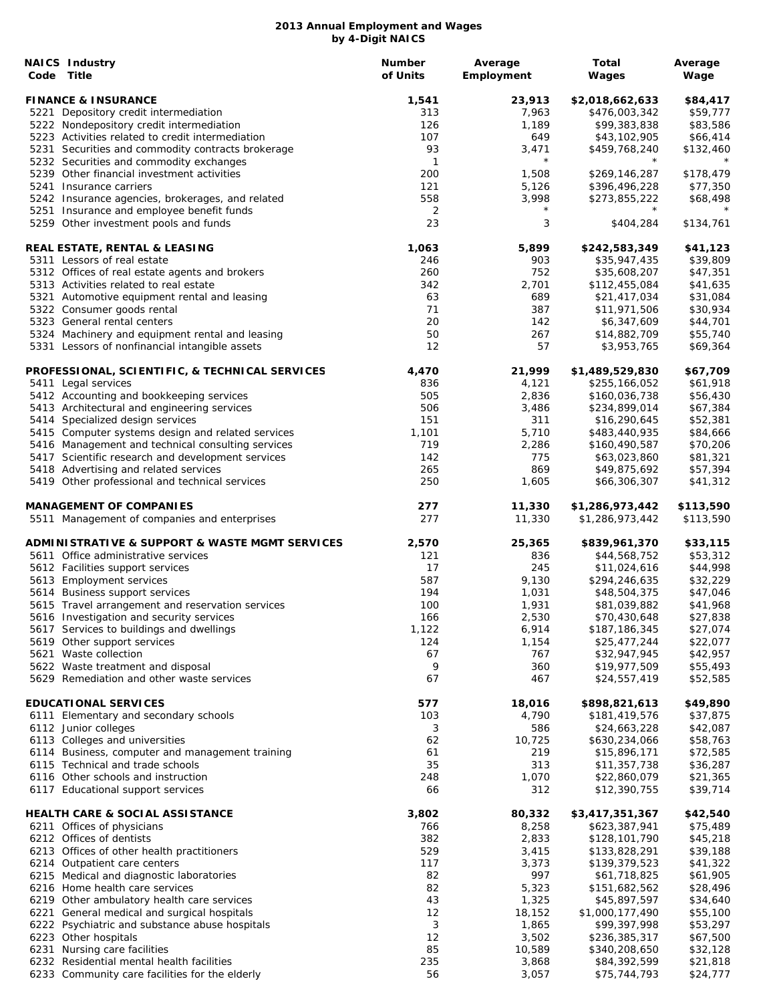| <b>NAICS Industry</b><br>Code Title                                                        | <b>Number</b><br>of Units | Average<br>Employment | <b>Total</b><br>Wages          | Average<br>Wage       |
|--------------------------------------------------------------------------------------------|---------------------------|-----------------------|--------------------------------|-----------------------|
| <b>FINANCE &amp; INSURANCE</b>                                                             | 1,541                     | 23,913                | \$2,018,662,633                | \$84,417              |
| 5221 Depository credit intermediation                                                      | 313                       | 7,963                 | \$476,003,342                  | \$59,777              |
| 5222 Nondepository credit intermediation                                                   | 126                       | 1,189                 | \$99,383,838                   | \$83,586              |
| 5223 Activities related to credit intermediation                                           | 107                       | 649                   | \$43,102,905                   | \$66,414              |
| 5231 Securities and commodity contracts brokerage                                          | 93                        | 3,471                 | \$459,768,240                  | \$132,460             |
| 5232 Securities and commodity exchanges                                                    | $\mathbf{1}$              | $\star$               | $^\star$                       |                       |
| 5239 Other financial investment activities                                                 | 200                       | 1,508                 | \$269,146,287<br>\$396,496,228 | \$178,479<br>\$77,350 |
| 5241 Insurance carriers<br>5242 Insurance agencies, brokerages, and related                | 121<br>558                | 5,126<br>3,998        | \$273,855,222                  | \$68,498              |
| 5251 Insurance and employee benefit funds                                                  | 2                         | $\star$               | $^\star$                       |                       |
| 5259 Other investment pools and funds                                                      | 23                        | 3                     | \$404,284                      | \$134,761             |
| REAL ESTATE, RENTAL & LEASING                                                              | 1,063                     | 5,899                 | \$242,583,349                  | \$41,123              |
| 5311 Lessors of real estate                                                                | 246                       | 903                   | \$35,947,435                   | \$39,809              |
| 5312 Offices of real estate agents and brokers                                             | 260                       | 752                   | \$35,608,207                   | \$47,351              |
| 5313 Activities related to real estate                                                     | 342                       | 2,701                 | \$112,455,084                  | \$41,635              |
| 5321 Automotive equipment rental and leasing<br>5322 Consumer goods rental                 | 63<br>71                  | 689<br>387            | \$21,417,034<br>\$11,971,506   | \$31,084<br>\$30,934  |
| 5323 General rental centers                                                                | 20                        | 142                   | \$6,347,609                    | \$44,701              |
| 5324 Machinery and equipment rental and leasing                                            | 50                        | 267                   | \$14,882,709                   | \$55,740              |
| 5331 Lessors of nonfinancial intangible assets                                             | 12                        | 57                    | \$3,953,765                    | \$69,364              |
| PROFESSIONAL, SCIENTIFIC, & TECHNICAL SERVICES                                             | 4,470                     | 21,999                | \$1,489,529,830                | \$67,709              |
| 5411 Legal services                                                                        | 836                       | 4,121                 | \$255,166,052                  | \$61,918              |
| 5412 Accounting and bookkeeping services                                                   | 505                       | 2,836                 | \$160,036,738                  | \$56,430              |
| 5413 Architectural and engineering services                                                | 506                       | 3,486                 | \$234,899,014                  | \$67,384              |
| 5414 Specialized design services                                                           | 151                       | 311                   | \$16,290,645                   | \$52,381              |
| 5415 Computer systems design and related services                                          | 1,101                     | 5,710                 | \$483,440,935                  | \$84,666              |
| 5416 Management and technical consulting services                                          | 719                       | 2,286                 | \$160,490,587                  | \$70,206              |
| 5417 Scientific research and development services<br>5418 Advertising and related services | 142<br>265                | 775<br>869            | \$63,023,860<br>\$49,875,692   | \$81,321<br>\$57,394  |
| 5419 Other professional and technical services                                             | 250                       | 1,605                 | \$66,306,307                   | \$41,312              |
| <b>MANAGEMENT OF COMPANIES</b>                                                             | 277                       | 11,330                | \$1,286,973,442                | \$113,590             |
| 5511 Management of companies and enterprises                                               | 277                       | 11,330                | \$1,286,973,442                | \$113,590             |
| <b>ADMINISTRATIVE &amp; SUPPORT &amp; WASTE MGMT SERVICES</b>                              | 2,570                     | 25,365                | \$839,961,370                  | \$33,115              |
| 5611 Office administrative services                                                        | 121                       | 836                   | \$44,568,752                   | \$53,312              |
| 5612 Facilities support services                                                           | 17                        | 245                   | \$11,024,616                   | \$44,998              |
| 5613 Employment services                                                                   | 587                       | 9,130                 | \$294,246,635                  | \$32,229              |
| 5614 Business support services                                                             | 194                       | 1,031                 | \$48,504,375                   | \$47,046              |
| 5615 Travel arrangement and reservation services                                           | 100                       | 1,931                 | \$81,039,882                   | \$41,968              |
| 5616 Investigation and security services                                                   | 166                       | 2,530                 | \$70,430,648                   | \$27,838              |
| 5617 Services to buildings and dwellings                                                   | 1,122                     | 6,914                 | \$187,186,345                  | \$27,074              |
| 5619 Other support services<br>5621 Waste collection                                       | 124                       | 1,154<br>767          | \$25,477,244<br>\$32,947,945   | \$22,077              |
| 5622 Waste treatment and disposal                                                          | 67<br>9                   | 360                   | \$19,977,509                   | \$42,957<br>\$55,493  |
| 5629 Remediation and other waste services                                                  | 67                        | 467                   | \$24,557,419                   | \$52,585              |
| <b>EDUCATIONAL SERVICES</b>                                                                | 577                       | 18,016                | \$898,821,613                  | \$49,890              |
| 6111 Elementary and secondary schools                                                      | 103                       | 4,790                 | \$181,419,576                  | \$37,875              |
| 6112 Junior colleges                                                                       | 3                         | 586                   | \$24,663,228                   | \$42,087              |
| 6113 Colleges and universities                                                             | 62                        | 10,725                | \$630,234,066                  | \$58,763              |
| 6114 Business, computer and management training                                            | 61                        | 219                   | \$15,896,171                   | \$72,585              |
| 6115 Technical and trade schools                                                           | 35                        | 313                   | \$11,357,738                   | \$36,287              |
| 6116 Other schools and instruction                                                         | 248                       | 1,070                 | \$22,860,079                   | \$21,365              |
| 6117 Educational support services                                                          | 66                        | 312                   | \$12,390,755                   | \$39,714              |
| <b>HEALTH CARE &amp; SOCIAL ASSISTANCE</b>                                                 | 3,802<br>766              | 80,332<br>8,258       | \$3,417,351,367                | \$42,540              |
| 6211 Offices of physicians                                                                 |                           | 2,833                 | \$623,387,941                  | \$75,489              |
| 6212 Offices of dentists<br>6213 Offices of other health practitioners                     | 382<br>529                | 3,415                 | \$128,101,790<br>\$133,828,291 | \$45,218<br>\$39,188  |
| 6214 Outpatient care centers                                                               | 117                       | 3,373                 | \$139,379,523                  | \$41,322              |
| 6215 Medical and diagnostic laboratories                                                   | 82                        | 997                   | \$61,718,825                   | \$61,905              |
| 6216 Home health care services                                                             | 82                        | 5,323                 | \$151,682,562                  | \$28,496              |
| 6219 Other ambulatory health care services                                                 | 43                        | 1,325                 | \$45,897,597                   | \$34,640              |
| 6221 General medical and surgical hospitals                                                | 12                        | 18,152                | \$1,000,177,490                | \$55,100              |
| 6222 Psychiatric and substance abuse hospitals                                             | 3                         | 1,865                 | \$99,397,998                   | \$53,297              |
| 6223 Other hospitals                                                                       | 12                        | 3,502                 | \$236,385,317                  | \$67,500              |
| 6231 Nursing care facilities                                                               | 85                        | 10,589                | \$340,208,650                  | \$32,128              |
| 6232 Residential mental health facilities                                                  | 235                       | 3,868                 | \$84,392,599                   | \$21,818              |
| 6233 Community care facilities for the elderly                                             | 56                        | 3,057                 | \$75,744,793                   | \$24,777              |